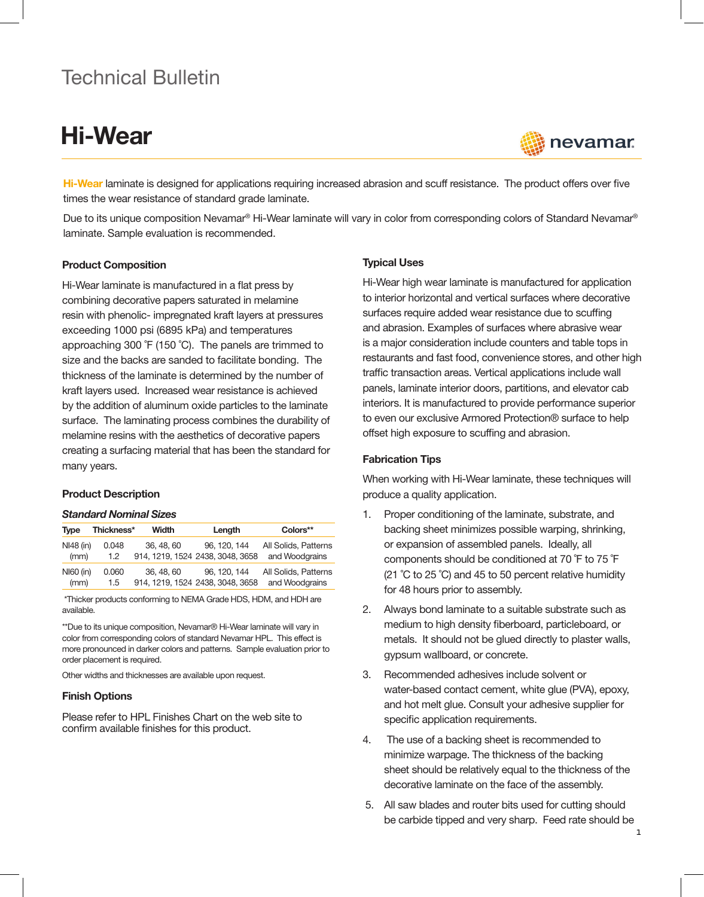# Technical Bulletin

# Hi-Wear



Hi-Wear laminate is designed for applications requiring increased abrasion and scuff resistance. The product offers over five times the wear resistance of standard grade laminate.

Due to its unique composition Nevamar® Hi-Wear laminate will vary in color from corresponding colors of Standard Nevamar® laminate. Sample evaluation is recommended.

#### Product Composition

Hi-Wear laminate is manufactured in a flat press by combining decorative papers saturated in melamine resin with phenolic- impregnated kraft layers at pressures exceeding 1000 psi (6895 kPa) and temperatures approaching 300 ˚F (150 ˚C). The panels are trimmed to size and the backs are sanded to facilitate bonding. The thickness of the laminate is determined by the number of kraft layers used. Increased wear resistance is achieved by the addition of aluminum oxide particles to the laminate surface. The laminating process combines the durability of melamine resins with the aesthetics of decorative papers creating a surfacing material that has been the standard for many years.

#### Product Description

#### *Standard Nominal Sizes*

| <b>Type</b> | Thickness* | <b>Width</b> | Length                           | Colors**             |
|-------------|------------|--------------|----------------------------------|----------------------|
| NI48 (in)   | 0.048      | 36, 48, 60   | 96, 120, 144                     | All Solids, Patterns |
| (mm)        | 1.2        |              | 914, 1219, 1524 2438, 3048, 3658 | and Woodgrains       |
| $N160$ (in) | 0.060      | 36, 48, 60   | 96, 120, 144                     | All Solids, Patterns |
| (mm)        | 1.5        |              | 914, 1219, 1524 2438, 3048, 3658 | and Woodgrains       |

\*Thicker products conforming to NEMA Grade HDS, HDM, and HDH are available.

\*\*Due to its unique composition, Nevamar® Hi-Wear laminate will vary in color from corresponding colors of standard Nevamar HPL. This effect is more pronounced in darker colors and patterns. Sample evaluation prior to order placement is required.

Other widths and thicknesses are available upon request.

#### Finish Options

Please refer to HPL Finishes Chart on the web site to confirm available finishes for this product.

#### Typical Uses

Hi-Wear high wear laminate is manufactured for application to interior horizontal and vertical surfaces where decorative surfaces require added wear resistance due to scuffing and abrasion. Examples of surfaces where abrasive wear is a major consideration include counters and table tops in restaurants and fast food, convenience stores, and other high traffic transaction areas. Vertical applications include wall panels, laminate interior doors, partitions, and elevator cab interiors. It is manufactured to provide performance superior to even our exclusive Armored Protection® surface to help offset high exposure to scuffing and abrasion.

#### Fabrication Tips

When working with Hi-Wear laminate, these techniques will produce a quality application.

- 1. Proper conditioning of the laminate, substrate, and backing sheet minimizes possible warping, shrinking, or expansion of assembled panels. Ideally, all components should be conditioned at 70 ˚F to 75 ˚F (21 ˚C to 25 ˚C) and 45 to 50 percent relative humidity for 48 hours prior to assembly.
- 2. Always bond laminate to a suitable substrate such as medium to high density fiberboard, particleboard, or metals. It should not be glued directly to plaster walls, gypsum wallboard, or concrete.
- 3. Recommended adhesives include solvent or water-based contact cement, white glue (PVA), epoxy, and hot melt glue. Consult your adhesive supplier for specific application requirements.
- 4. The use of a backing sheet is recommended to minimize warpage. The thickness of the backing sheet should be relatively equal to the thickness of the decorative laminate on the face of the assembly.
- 5. All saw blades and router bits used for cutting should be carbide tipped and very sharp. Feed rate should be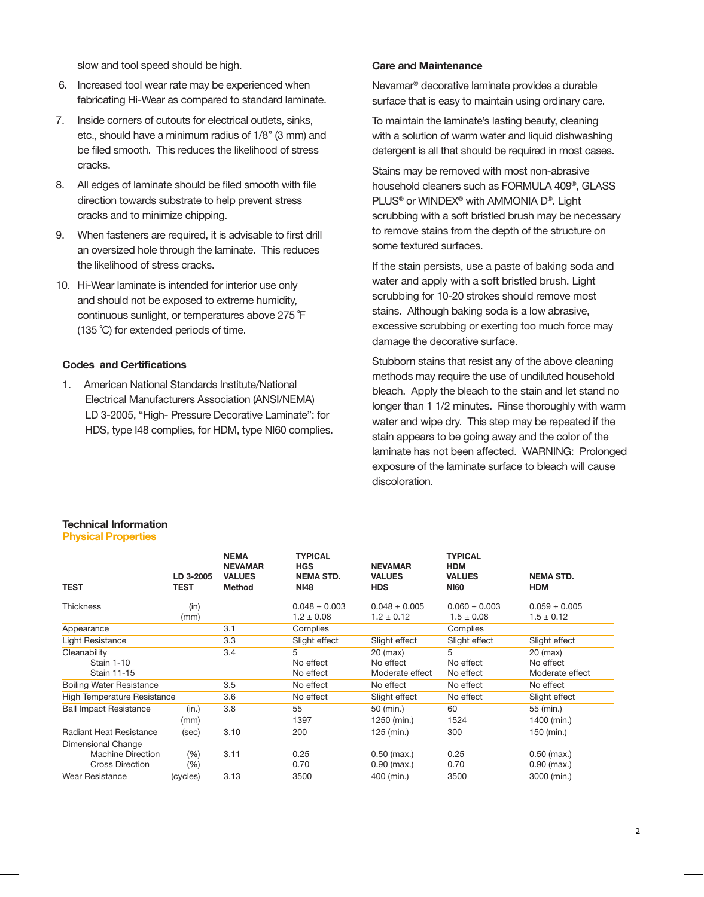slow and tool speed should be high.

- 6. Increased tool wear rate may be experienced when fabricating Hi-Wear as compared to standard laminate.
- 7. Inside corners of cutouts for electrical outlets, sinks, etc., should have a minimum radius of 1/8" (3 mm) and be filed smooth. This reduces the likelihood of stress cracks.
- 8. All edges of laminate should be filed smooth with file direction towards substrate to help prevent stress cracks and to minimize chipping.
- 9. When fasteners are required, it is advisable to first drill an oversized hole through the laminate. This reduces the likelihood of stress cracks.
- 10. Hi-Wear laminate is intended for interior use only and should not be exposed to extreme humidity, continuous sunlight, or temperatures above 275 ˚F (135 ˚C) for extended periods of time.

## Codes and Certifications

1. American National Standards Institute/National Electrical Manufacturers Association (ANSI/NEMA) LD 3-2005, "High- Pressure Decorative Laminate": for HDS, type I48 complies, for HDM, type NI60 complies.

#### Care and Maintenance

Nevamar® decorative laminate provides a durable surface that is easy to maintain using ordinary care.

To maintain the laminate's lasting beauty, cleaning with a solution of warm water and liquid dishwashing detergent is all that should be required in most cases.

Stains may be removed with most non-abrasive household cleaners such as FORMULA 409®, GLASS PLUS® or WINDEX® with AMMONIA D®. Light scrubbing with a soft bristled brush may be necessary to remove stains from the depth of the structure on some textured surfaces.

If the stain persists, use a paste of baking soda and water and apply with a soft bristled brush. Light scrubbing for 10-20 strokes should remove most stains. Although baking soda is a low abrasive, excessive scrubbing or exerting too much force may damage the decorative surface.

Stubborn stains that resist any of the above cleaning methods may require the use of undiluted household bleach. Apply the bleach to the stain and let stand no longer than 1 1/2 minutes. Rinse thoroughly with warm water and wipe dry. This step may be repeated if the stain appears to be going away and the color of the laminate has not been affected. WARNING: Prolonged exposure of the laminate surface to bleach will cause discoloration.

#### Technical Information Physical Properties

| <b>TEST</b>                                                       | LD 3-2005<br><b>TEST</b> | <b>NEMA</b><br><b>NEVAMAR</b><br><b>VALUES</b><br>Method | <b>TYPICAL</b><br><b>HGS</b><br><b>NEMA STD.</b><br><b>NI48</b> | <b>NEVAMAR</b><br><b>VALUES</b><br><b>HDS</b> | <b>TYPICAL</b><br><b>HDM</b><br><b>VALUES</b><br><b>NI60</b> | <b>NEMA STD.</b><br><b>HDM</b>             |
|-------------------------------------------------------------------|--------------------------|----------------------------------------------------------|-----------------------------------------------------------------|-----------------------------------------------|--------------------------------------------------------------|--------------------------------------------|
| Thickness                                                         | (in)<br>(mm)             |                                                          | $0.048 \pm 0.003$<br>$1.2 \pm 0.08$                             | $0.048 \pm 0.005$<br>$1.2 \pm 0.12$           | $0.060 \pm 0.003$<br>$1.5 \pm 0.08$                          | $0.059 \pm 0.005$<br>$1.5 \pm 0.12$        |
| Appearance                                                        |                          | 3.1                                                      | Complies                                                        |                                               | Complies                                                     |                                            |
| Light Resistance                                                  |                          | 3.3                                                      | Slight effect                                                   | Slight effect                                 | Slight effect                                                | Slight effect                              |
| Cleanability<br><b>Stain 1-10</b><br>Stain 11-15                  |                          | 3.4                                                      | 5<br>No effect<br>No effect                                     | $20$ (max)<br>No effect<br>Moderate effect    | 5<br>No effect<br>No effect                                  | $20$ (max)<br>No effect<br>Moderate effect |
| <b>Boiling Water Resistance</b>                                   |                          | 3.5                                                      | No effect                                                       | No effect                                     | No effect                                                    | No effect                                  |
| <b>High Temperature Resistance</b>                                |                          | 3.6                                                      | No effect                                                       | Slight effect                                 | No effect                                                    | Slight effect                              |
| <b>Ball Impact Resistance</b>                                     | (in.)<br>(mm)            | 3.8                                                      | 55<br>1397                                                      | 50 (min.)<br>1250 (min.)                      | 60<br>1524                                                   | 55 (min.)<br>1400 (min.)                   |
| <b>Radiant Heat Resistance</b>                                    | (sec)                    | 3.10                                                     | 200                                                             | 125 (min.)                                    | 300                                                          | 150 (min.)                                 |
| Dimensional Change<br>Machine Direction<br><b>Cross Direction</b> | (%)<br>$(\% )$           | 3.11                                                     | 0.25<br>0.70                                                    | $0.50$ (max.)<br>$0.90$ (max.)                | 0.25<br>0.70                                                 | $0.50$ (max.)<br>$0.90$ (max.)             |
| <b>Wear Resistance</b>                                            | (cycles)                 | 3.13                                                     | 3500                                                            | 400 (min.)                                    | 3500                                                         | 3000 (min.)                                |